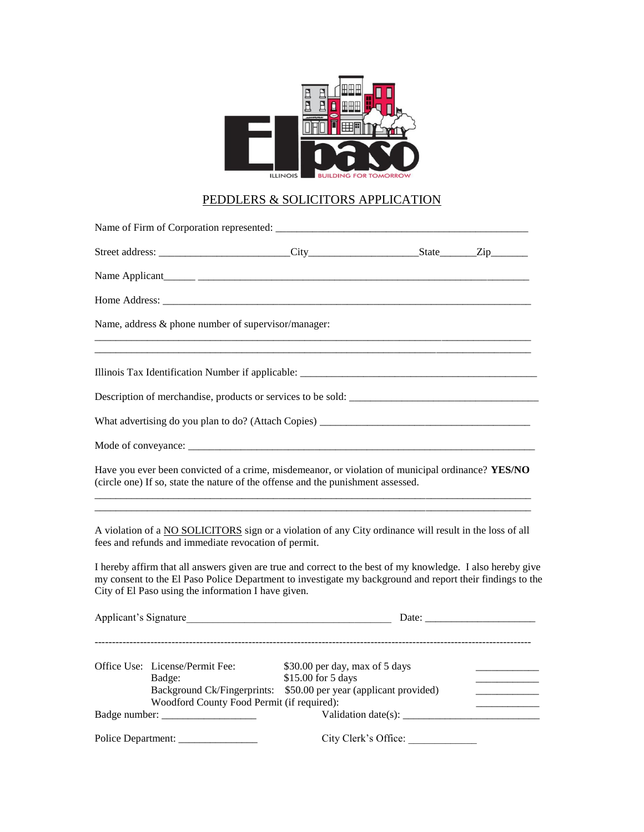

# PEDDLERS & SOLICITORS APPLICATION

|                    | Name, address & phone number of supervisor/manager:                                     |                                                                                                                                                                                                                          |                                                                                                          |  |  |
|--------------------|-----------------------------------------------------------------------------------------|--------------------------------------------------------------------------------------------------------------------------------------------------------------------------------------------------------------------------|----------------------------------------------------------------------------------------------------------|--|--|
|                    |                                                                                         |                                                                                                                                                                                                                          |                                                                                                          |  |  |
|                    |                                                                                         |                                                                                                                                                                                                                          |                                                                                                          |  |  |
|                    |                                                                                         |                                                                                                                                                                                                                          |                                                                                                          |  |  |
|                    |                                                                                         |                                                                                                                                                                                                                          |                                                                                                          |  |  |
|                    |                                                                                         | Have you ever been convicted of a crime, misdemeanor, or violation of municipal ordinance? YES/NO<br>(circle one) If so, state the nature of the offense and the punishment assessed.                                    |                                                                                                          |  |  |
|                    | fees and refunds and immediate revocation of permit.                                    | A violation of a NO SOLICITORS sign or a violation of any City ordinance will result in the loss of all                                                                                                                  |                                                                                                          |  |  |
|                    | City of El Paso using the information I have given.                                     | I hereby affirm that all answers given are true and correct to the best of my knowledge. I also hereby give<br>my consent to the El Paso Police Department to investigate my background and report their findings to the |                                                                                                          |  |  |
|                    |                                                                                         |                                                                                                                                                                                                                          |                                                                                                          |  |  |
|                    | Office Use: License/Permit Fee:<br>Badge:<br>Woodford County Food Permit (if required): | \$30.00 per day, max of 5 days<br>\$15.00 for 5 days<br>Background Ck/Fingerprints: \$50.00 per year (applicant provided)                                                                                                |                                                                                                          |  |  |
|                    |                                                                                         |                                                                                                                                                                                                                          | Validation date(s): $\frac{1}{\sqrt{1-\frac{1}{2}}}\left\vert \frac{1}{\sqrt{1-\frac{1}{2}}}\right\vert$ |  |  |
| Police Department: |                                                                                         |                                                                                                                                                                                                                          | City Clerk's Office:                                                                                     |  |  |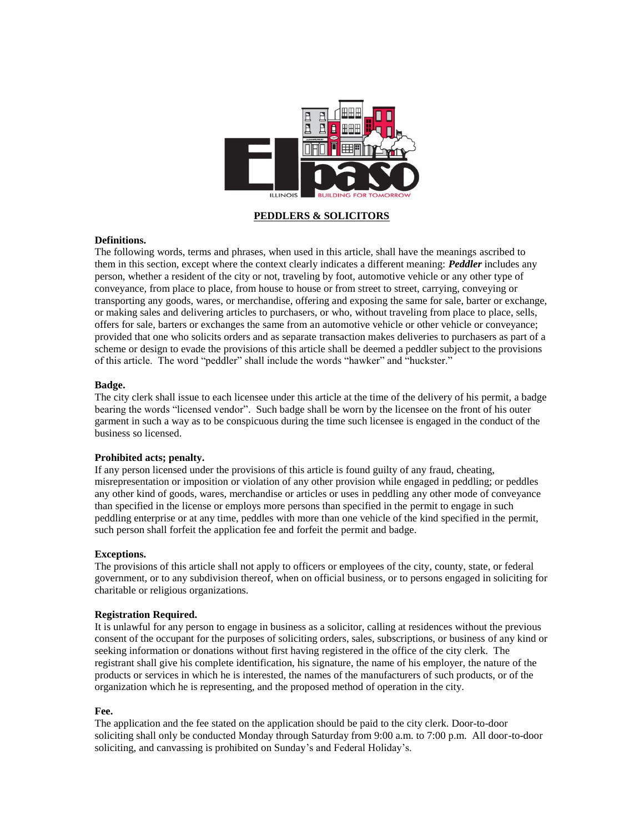

**PEDDLERS & SOLICITORS**

# **Definitions.**

The following words, terms and phrases, when used in this article, shall have the meanings ascribed to them in this section, except where the context clearly indicates a different meaning: *Peddler* includes any person, whether a resident of the city or not, traveling by foot, automotive vehicle or any other type of conveyance, from place to place, from house to house or from street to street, carrying, conveying or transporting any goods, wares, or merchandise, offering and exposing the same for sale, barter or exchange, or making sales and delivering articles to purchasers, or who, without traveling from place to place, sells, offers for sale, barters or exchanges the same from an automotive vehicle or other vehicle or conveyance; provided that one who solicits orders and as separate transaction makes deliveries to purchasers as part of a scheme or design to evade the provisions of this article shall be deemed a peddler subject to the provisions of this article. The word "peddler" shall include the words "hawker" and "huckster."

## **Badge.**

The city clerk shall issue to each licensee under this article at the time of the delivery of his permit, a badge bearing the words "licensed vendor". Such badge shall be worn by the licensee on the front of his outer garment in such a way as to be conspicuous during the time such licensee is engaged in the conduct of the business so licensed.

# **Prohibited acts; penalty.**

If any person licensed under the provisions of this article is found guilty of any fraud, cheating, misrepresentation or imposition or violation of any other provision while engaged in peddling; or peddles any other kind of goods, wares, merchandise or articles or uses in peddling any other mode of conveyance than specified in the license or employs more persons than specified in the permit to engage in such peddling enterprise or at any time, peddles with more than one vehicle of the kind specified in the permit, such person shall forfeit the application fee and forfeit the permit and badge.

#### **Exceptions.**

The provisions of this article shall not apply to officers or employees of the city, county, state, or federal government, or to any subdivision thereof, when on official business, or to persons engaged in soliciting for charitable or religious organizations.

#### **Registration Required.**

It is unlawful for any person to engage in business as a solicitor, calling at residences without the previous consent of the occupant for the purposes of soliciting orders, sales, subscriptions, or business of any kind or seeking information or donations without first having registered in the office of the city clerk. The registrant shall give his complete identification, his signature, the name of his employer, the nature of the products or services in which he is interested, the names of the manufacturers of such products, or of the organization which he is representing, and the proposed method of operation in the city.

## **Fee.**

The application and the fee stated on the application should be paid to the city clerk. Door-to-door soliciting shall only be conducted Monday through Saturday from 9:00 a.m. to 7:00 p.m. All door-to-door soliciting, and canvassing is prohibited on Sunday's and Federal Holiday's.